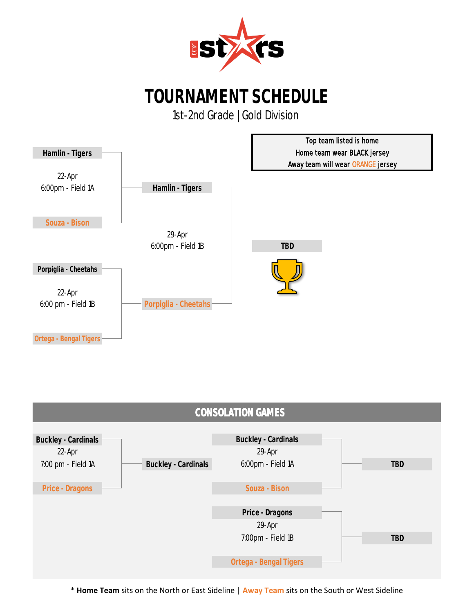

1st-2nd Grade | Gold Division



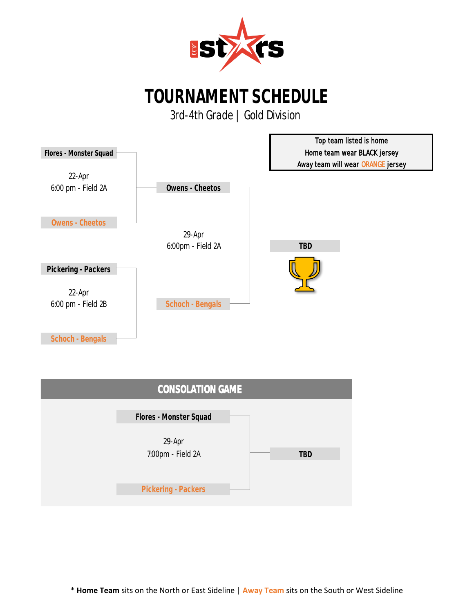

3rd-4th Grade | Gold Division



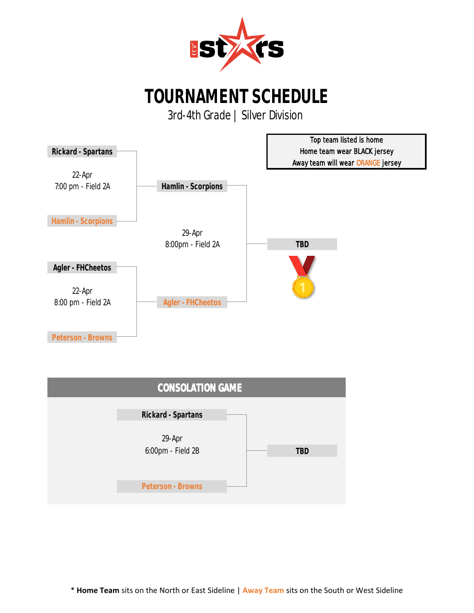

3rd-4th Grade | Silver Division



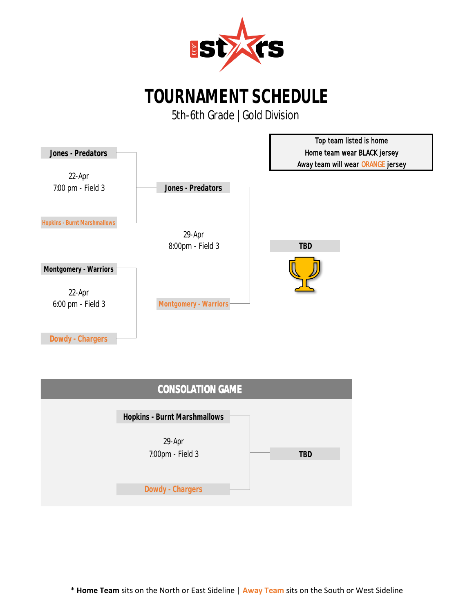

5th-6th Grade | Gold Division